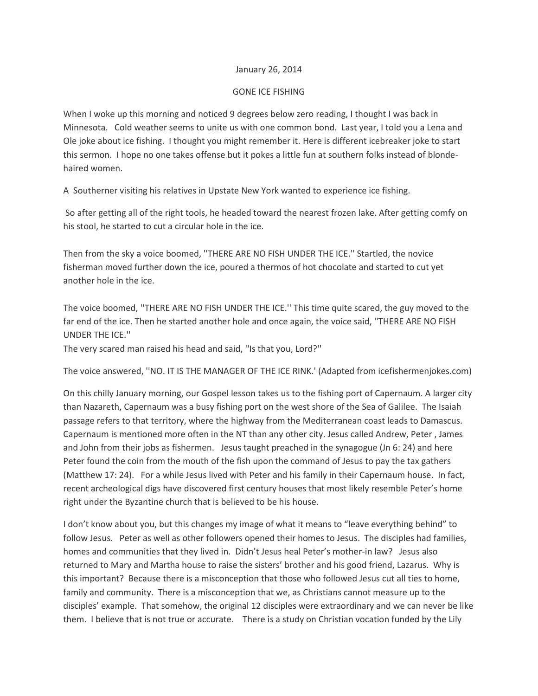## January 26, 2014

## GONE ICE FISHING

When I woke up this morning and noticed 9 degrees below zero reading, I thought I was back in Minnesota. Cold weather seems to unite us with one common bond. Last year, I told you a Lena and Ole joke about ice fishing. I thought you might remember it. Here is different icebreaker joke to start this sermon. I hope no one takes offense but it pokes a little fun at southern folks instead of blondehaired women.

A Southerner visiting his relatives in Upstate New York wanted to experience ice fishing.

So after getting all of the right tools, he headed toward the nearest frozen lake. After getting comfy on his stool, he started to cut a circular hole in the ice.

Then from the sky a voice boomed, ''THERE ARE NO FISH UNDER THE ICE.'' Startled, the novice fisherman moved further down the ice, poured a thermos of hot chocolate and started to cut yet another hole in the ice.

The voice boomed, ''THERE ARE NO FISH UNDER THE ICE.'' This time quite scared, the guy moved to the far end of the ice. Then he started another hole and once again, the voice said, ''THERE ARE NO FISH UNDER THE ICE.''

The very scared man raised his head and said, ''Is that you, Lord?''

The voice answered, ''NO. IT IS THE MANAGER OF THE ICE RINK.' (Adapted from icefishermenjokes.com)

On this chilly January morning, our Gospel lesson takes us to the fishing port of Capernaum. A larger city than Nazareth, Capernaum was a busy fishing port on the west shore of the Sea of Galilee. The Isaiah passage refers to that territory, where the highway from the Mediterranean coast leads to Damascus. Capernaum is mentioned more often in the NT than any other city. Jesus called Andrew, Peter , James and John from their jobs as fishermen. Jesus taught preached in the synagogue (Jn 6: 24) and here Peter found the coin from the mouth of the fish upon the command of Jesus to pay the tax gathers (Matthew 17: 24). For a while Jesus lived with Peter and his family in their Capernaum house. In fact, recent archeological digs have discovered first century houses that most likely resemble Peter's home right under the Byzantine church that is believed to be his house.

I don't know about you, but this changes my image of what it means to "leave everything behind" to follow Jesus. Peter as well as other followers opened their homes to Jesus. The disciples had families, homes and communities that they lived in. Didn't Jesus heal Peter's mother-in law? Jesus also returned to Mary and Martha house to raise the sisters' brother and his good friend, Lazarus. Why is this important? Because there is a misconception that those who followed Jesus cut all ties to home, family and community. There is a misconception that we, as Christians cannot measure up to the disciples' example. That somehow, the original 12 disciples were extraordinary and we can never be like them. I believe that is not true or accurate. There is a study on Christian vocation funded by the Lily